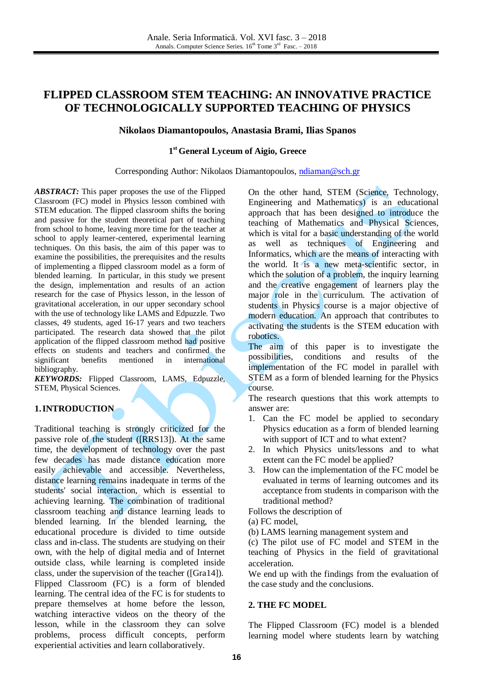# **FLIPPED CLASSROOM STEM TEACHING: AN INNOVATIVE PRACTICE OF TECHNOLOGICALLY SUPPORTED TEACHING OF PHYSICS**

### **Nikolaos Diamantopoulos, Anastasia Brami, Ilias Spanos**

## **1 st General Lyceum of Aigio, Greece**

#### Corresponding Author: Nikolaos Diamantopoulos, [ndiaman@sch.gr](mailto:ndiaman@sch.gr)

*ABSTRACT:* This paper proposes the use of the Flipped Classroom (FC) model in Physics lesson combined with STEM education. The flipped classroom shifts the boring and passive for the student theoretical part of teaching from school to home, leaving more time for the teacher at school to apply learner-centered, experimental learning techniques. On this basis, the aim of this paper was to examine the possibilities, the prerequisites and the results of implementing a flipped classroom model as a form of blended learning. In particular, in this study we present the design, implementation and results of an action research for the case of Physics lesson, in the lesson of gravitational acceleration, in our upper secondary school with the use of technology like LAMS and Edpuzzle. Two classes, 49 students, aged 16-17 years and two teachers participated. The research data showed that the pilot application of the flipped classroom method had positive effects on students and teachers and confirmed the significant benefits mentioned in international bibliography.

*KEYWORDS:* Flipped Classroom, LAMS, Edpuzzle, STEM, Physical Sciences.

### **1.INTRODUCTION**

Traditional teaching is strongly criticized for the passive role of the student ([RRS13]). At the same time, the development of technology over the past few decades has made distance education more easily achievable and accessible. Nevertheless, distance learning remains inadequate in terms of the students' social interaction, which is essential to achieving learning. The combination of traditional classroom teaching and distance learning leads to blended learning. In the blended learning, the educational procedure is divided to time outside class and in-class. The students are studying on their own, with the help of digital media and of Internet outside class, while learning is completed inside class, under the supervision of the teacher ([Gra14]). Flipped Classroom (FC) is a form of blended learning. The central idea of the FC is for students to prepare themselves at home before the lesson, watching interactive videos on the theory of the lesson, while in the classroom they can solve problems, process difficult concepts, perform experiential activities and learn collaboratively.

On the other hand, STEM (Science, Technology, Engineering and Mathematics) is an educational approach that has been designed to introduce the teaching of Mathematics and Physical Sciences, which is vital for a basic understanding of the world as well as techniques of Engineering and Informatics, which are the means of interacting with the world. It is a new meta-scientific sector, in which the solution of a problem, the inquiry learning and the creative engagement of learners play the major role in the curriculum. The activation of students in Physics course is a major objective of modern education. An approach that contributes to activating the students is the STEM education with robotics.

The aim of this paper is to investigate the possibilities, conditions and results of the implementation of the FC model in parallel with STEM as a form of blended learning for the Physics course.

The research questions that this work attempts to answer are:

- 1. Can the FC model be applied to secondary Physics education as a form of blended learning with support of ICT and to what extent?
- 2. In which Physics units/lessons and to what extent can the FC model be applied?
- 3. How can the implementation of the FC model be evaluated in terms of learning outcomes and its acceptance from students in comparison with the traditional method?

Follows the description of

- (a) FC model,
- (b) LAMS learning management system and

(c) The pilot use of FC model and STEM in the teaching of Physics in the field of gravitational acceleration.

We end up with the findings from the evaluation of the case study and the conclusions.

#### **2. THE FC MODEL**

The Flipped Classroom (FC) model is a blended learning model where students learn by watching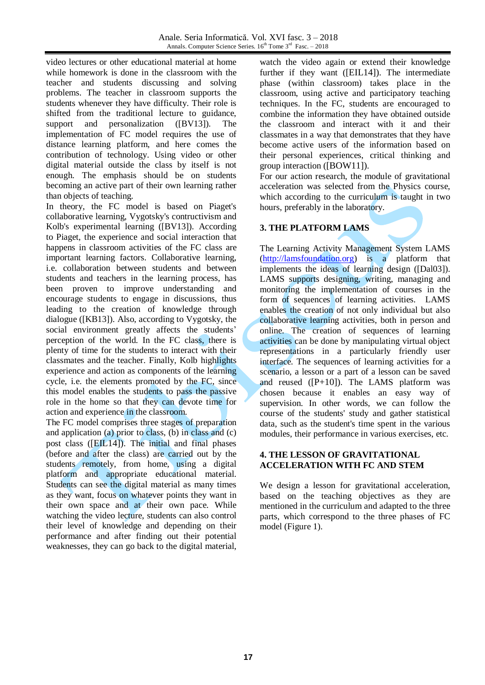video lectures or other educational material at home while homework is done in the classroom with the teacher and students discussing and solving problems. The teacher in classroom supports the students whenever they have difficulty. Their role is shifted from the traditional lecture to guidance, support and personalization ([BV13]). The implementation of FC model requires the use of distance learning platform, and here comes the contribution of technology. Using video or other digital material outside the class by itself is not enough. The emphasis should be on students becoming an active part of their own learning rather than objects of teaching.

In theory, the FC model is based on Piaget's collaborative learning, Vygotsky's contructivism and Kolb's experimental learning ([BV13]). According to Piaget, the experience and social interaction that happens in classroom activities of the FC class are important learning factors. Collaborative learning, i.e. collaboration between students and between students and teachers in the learning process, has been proven to improve understanding and encourage students to engage in discussions, thus leading to the creation of knowledge through dialogue ([KB13]). Also, according to Vygotsky, the social environment greatly affects the students' perception of the world. In the FC class, there is plenty of time for the students to interact with their classmates and the teacher. Finally, Kolb highlights experience and action as components of the learning cycle, i.e. the elements promoted by the FC, since this model enables the students to pass the passive role in the home so that they can devote time for action and experience in the classroom.

The FC model comprises three stages of preparation and application (a) prior to class, (b) in class and (c) post class ([EIL14]). The initial and final phases (before and after the class) are carried out by the students remotely, from home, using a digital platform and appropriate educational material. Students can see the digital material as many times as they want, focus on whatever points they want in their own space and at their own pace. While watching the video lecture, students can also control their level of knowledge and depending on their performance and after finding out their potential weaknesses, they can go back to the digital material,

watch the video again or extend their knowledge further if they want ([EIL14]). The intermediate phase (within classroom) takes place in the classroom, using active and participatory teaching techniques. In the FC, students are encouraged to combine the information they have obtained outside the classroom and interact with it and their classmates in a way that demonstrates that they have become active users of the information based on their personal experiences, critical thinking and group interaction ([BOW11]).

For our action research, the module of gravitational acceleration was selected from the Physics course, which according to the curriculum is taught in two hours, preferably in the laboratory.

## **3. THE PLATFORM LAMS**

The Learning Activity Management System LAMS [\(http://lamsfoundation.org\)](http://lamsfoundation.org/) is a platform that implements the ideas of learning design ([Dal03]). LAMS supports designing, writing, managing and monitoring the implementation of courses in the form of sequences of learning activities. LAMS enables the creation of not only individual but also collaborative learning activities, both in person and online. The creation of sequences of learning activities can be done by manipulating virtual object representations in a particularly friendly user interface. The sequences of learning activities for a scenario, a lesson or a part of a lesson can be saved and reused  $([P+10])$ . The LAMS platform was chosen because it enables an easy way of supervision. In other words, we can follow the course of the students' study and gather statistical data, such as the student's time spent in the various modules, their performance in various exercises, etc.

### **4. THE LESSON OF GRAVITATIONAL ACCELERATION WITH FC AND STEM**

We design a lesson for gravitational acceleration, based on the teaching objectives as they are mentioned in the curriculum and adapted to the three parts, which correspond to the three phases of FC model (Figure 1).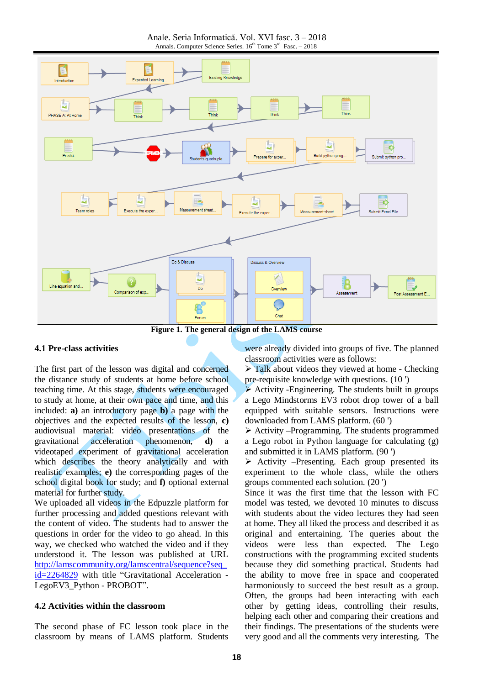Anale. Seria Informatică. Vol. XVI fasc. 3 – 2018 Annals. Computer Science Series.  $16^{th}$  Tome  $3^{rd}$  Fasc.  $-2018$ 



**Figure 1. The general design of the LAMS course**

#### **4.1 Pre-class activities**

The first part of the lesson was digital and concerned the distance study of students at home before school teaching time. At this stage, students were encouraged to study at home, at their own pace and time, and this included: **a)** an introductory page **b)** a page with the objectives and the expected results of the lesson, **c)** audiovisual material: video presentations of the gravitational acceleration phenomenon, **d)** a videotaped experiment of gravitational acceleration which describes the theory analytically and with realistic examples; **e)** the corresponding pages of the school digital book for study; and **f)** optional external material for further study.

We uploaded all videos in the Edpuzzle platform for further processing and added questions relevant with the content of video. The students had to answer the questions in order for the video to go ahead. In this way, we checked who watched the video and if they understood it. The lesson was published at URL [http://lamscommunity.org/lamscentral/sequence?seq\\_](http://lamscommunity.org/lamscentral/sequence?seq_id=2264829) [id=2264829](http://lamscommunity.org/lamscentral/sequence?seq_id=2264829) with title ["Gravitational](https://lamscommunity.org/lamscentral/dl?seq_id=2264829) Acceleration - [LegoEV3\\_Python](https://lamscommunity.org/lamscentral/dl?seq_id=2264829) - PROBOT".

### **4.2 Activities within the classroom**

The second phase of FC lesson took place in the classroom by means of LAMS platform. Students

were already divided into groups of five. The planned classroom activities were as follows:

 $\triangleright$  Talk about videos they viewed at home - Checking pre-requisite knowledge with questions. (10 ')

 $\triangleright$  Activity -Engineering. The students built in groups a Lego Mindstorms EV3 robot drop tower of a ball equipped with suitable sensors. Instructions were downloaded from LAMS platform. (60 ')

 $\triangleright$  Activity –Programming. The students programmed a Lego robot in Python language for calculating (g) and submitted it in LAMS platform. (90 ')

 $\triangleright$  Activity –Presenting. Each group presented its experiment to the whole class, while the others groups commented each solution. (20 ')

Since it was the first time that the lesson with FC model was tested, we devoted 10 minutes to discuss with students about the video lectures they had seen at home. They all liked the process and described it as original and entertaining. The queries about the videos were less than expected. The Lego constructions with the programming excited students because they did something practical. Students had the ability to move free in space and cooperated harmoniously to succeed the best result as a group. Often, the groups had been interacting with each other by getting ideas, controlling their results, helping each other and comparing their creations and their findings. The presentations of the students were very good and all the comments very interesting. The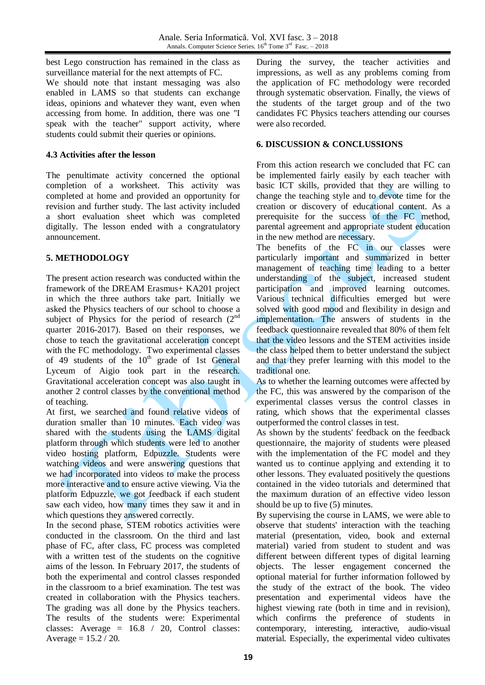best Lego construction has remained in the class as surveillance material for the next attempts of FC.

We should note that instant messaging was also enabled in LAMS so that students can exchange ideas, opinions and whatever they want, even when accessing from home. In addition, there was one "I speak with the teacher" support activity, where students could submit their queries or opinions.

### **4.3 Activities after the lesson**

The penultimate activity concerned the optional completion of a worksheet. This activity was completed at home and provided an opportunity for revision and further study. The last activity included a short evaluation sheet which was completed digitally. The lesson ended with a congratulatory announcement.

## **5. METHODOLOGY**

The present action research was conducted within the framework of the DREAM Erasmus+ KA201 project in which the three authors take part. Initially we asked the Physics teachers of our school to choose a subject of Physics for the period of research  $(2^{nd}$ quarter 2016-2017). Based on their responses, we chose to teach the gravitational acceleration concept with the FC methodology. Two experimental classes of 49 students of the  $10^{th}$  grade of 1st General Lyceum of Aigio took part in the research. Gravitational acceleration concept was also taught in another 2 control classes by the conventional method of teaching.

At first, we searched and found relative videos of duration smaller than 10 minutes. Each video was shared with the students using the LAMS digital platform through which students were led to another video hosting platform, Edpuzzle. Students were watching videos and were answering questions that we had incorporated into videos to make the process more interactive and to ensure active viewing. Via the platform Edpuzzle, we got feedback if each student saw each video, how many times they saw it and in which questions they answered correctly.

In the second phase, STEM robotics activities were conducted in the classroom. On the third and last phase of FC, after class, FC process was completed with a written test of the students on the cognitive aims of the lesson. In February 2017, the students of both the experimental and control classes responded in the classroom to a brief examination. The test was created in collaboration with the Physics teachers. The grading was all done by the Physics teachers. The results of the students were: Experimental classes: Average = 16.8 / 20, Control classes: Average  $= 15.2 / 20$ .

During the survey, the teacher activities and impressions, as well as any problems coming from the application of FC methodology were recorded through systematic observation. Finally, the views of the students of the target group and of the two candidates FC Physics teachers attending our courses were also recorded.

### **6. DISCUSSION & CONCLUSSIONS**

From this action research we concluded that FC can be implemented fairly easily by each teacher with basic ICT skills, provided that they are willing to change the teaching style and to devote time for the creation or discovery of educational content. As a prerequisite for the success of the FC method, parental agreement and appropriate student education in the new method are necessary.

The benefits of the FC in our classes were particularly important and summarized in better management of teaching time leading to a better understanding of the subject, increased student participation and improved learning outcomes. Various technical difficulties emerged but were solved with good mood and flexibility in design and implementation. The answers of students in the feedback questionnaire revealed that 80% of them felt that the video lessons and the STEM activities inside the class helped them to better understand the subject and that they prefer learning with this model to the traditional one.

As to whether the learning outcomes were affected by the FC, this was answered by the comparison of the experimental classes versus the control classes in rating, which shows that the experimental classes outperformed the control classes in test.

As shown by the students' feedback on the feedback questionnaire, the majority of students were pleased with the implementation of the FC model and they wanted us to continue applying and extending it to other lessons. They evaluated positively the questions contained in the video tutorials and determined that the maximum duration of an effective video lesson should be up to five (5) minutes.

By supervising the course in LAMS, we were able to observe that students' interaction with the teaching material (presentation, video, book and external material) varied from student to student and was different between different types of digital learning objects. The lesser engagement concerned the optional material for further information followed by the study of the extract of the book. The video presentation and experimental videos have the highest viewing rate (both in time and in revision), which confirms the preference of students in contemporary, interesting, interactive, audio-visual material. Especially, the experimental video cultivates